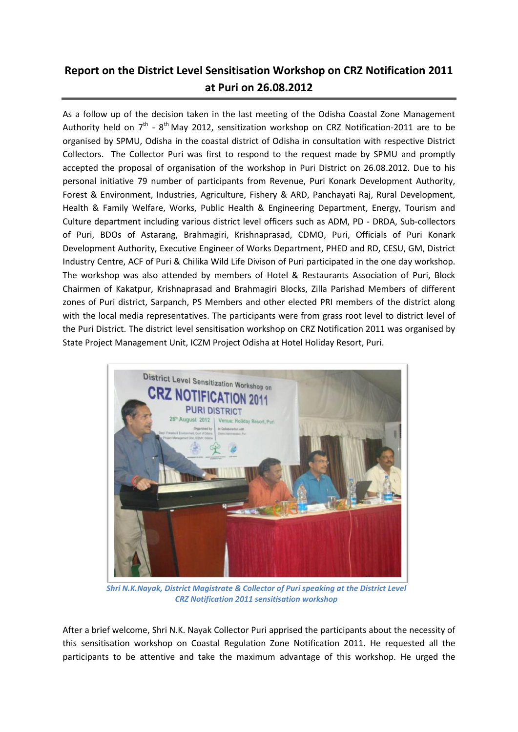## **Report on the District Level Sensitisation Workshop on CRZ Notification 2011 at Puri on 26.08.2012**

As a follow up of the decision taken in the last meeting of the Odisha Coastal Zone Management Authority held on  $7<sup>th</sup>$  -  $8<sup>th</sup>$  May 2012, sensitization workshop on CRZ Notification-2011 are to be organised by SPMU, Odisha in the coastal district of Odisha in consultation with respective District Collectors. The Collector Puri was first to respond to the request made by SPMU and promptly accepted the proposal of organisation of the workshop in Puri District on 26.08.2012. Due to his personal initiative 79 number of participants from Revenue, Puri Konark Development Authority, Forest & Environment, Industries, Agriculture, Fishery & ARD, Panchayati Raj, Rural Development, Health & Family Welfare, Works, Public Health & Engineering Department, Energy, Tourism and Culture department including various district level officers such as ADM, PD - DRDA, Sub-collectors of Puri, BDOs of Astarang, Brahmagiri, Krishnaprasad, CDMO, Puri, Officials of Puri Konark Development Authority, Executive Engineer of Works Department, PHED and RD, CESU, GM, District Industry Centre, ACF of Puri & Chilika Wild Life Divison of Puri participated in the one day workshop. The workshop was also attended by members of Hotel & Restaurants Association of Puri, Block Chairmen of Kakatpur, Krishnaprasad and Brahmagiri Blocks, Zilla Parishad Members of different zones of Puri district, Sarpanch, PS Members and other elected PRI members of the district along with the local media representatives. The participants were from grass root level to district level of the Puri District. The district level sensitisation workshop on CRZ Notification 2011 was organised by State Project Management Unit, ICZM Project Odisha at Hotel Holiday Resort, Puri.



*Shri N.K.Nayak, District Magistrate & Collector of Puri speaking at the District Level CRZ Notification 2011 sensitisation workshop*

After a brief welcome, Shri N.K. Nayak Collector Puri apprised the participants about the necessity of this sensitisation workshop on Coastal Regulation Zone Notification 2011. He requested all the participants to be attentive and take the maximum advantage of this workshop. He urged the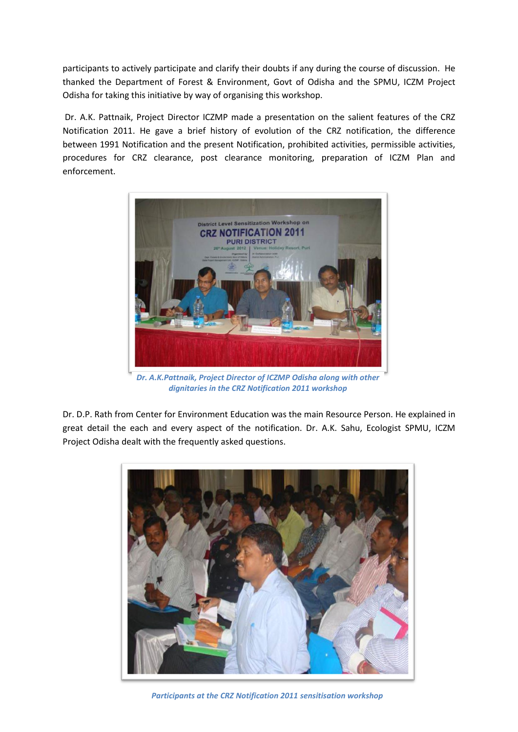participants to actively participate and clarify their doubts if any during the course of discussion. He thanked the Department of Forest & Environment, Govt of Odisha and the SPMU, ICZM Project Odisha for taking this initiative by way of organising this workshop.

Dr. A.K. Pattnaik, Project Director ICZMP made a presentation on the salient features of the CRZ Notification 2011. He gave a brief history of evolution of the CRZ notification, the difference between 1991 Notification and the present Notification, prohibited activities, permissible activities, procedures for CRZ clearance, post clearance monitoring, preparation of ICZM Plan and enforcement.



*Dr. A.K.Pattnaik, Project Director of ICZMP Odisha along with other dignitaries in the CRZ Notification 2011 workshop*

Dr. D.P. Rath from Center for Environment Education was the main Resource Person. He explained in great detail the each and every aspect of the notification. Dr. A.K. Sahu, Ecologist SPMU, ICZM Project Odisha dealt with the frequently asked questions.



*Participants at the CRZ Notification 2011 sensitisation workshop*